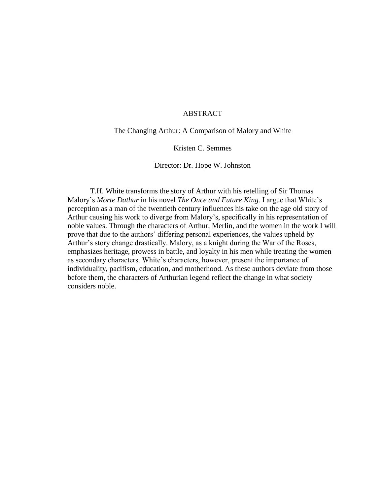#### ABSTRACT

The Changing Arthur: A Comparison of Malory and White

## Kristen C. Semmes

Director: Dr. Hope W. Johnston

T.H. White transforms the story of Arthur with his retelling of Sir Thomas Malory's *Morte Dathur* in his novel *The Once and Future King*. I argue that White's perception as a man of the twentieth century influences his take on the age old story of Arthur causing his work to diverge from Malory's, specifically in his representation of noble values. Through the characters of Arthur, Merlin, and the women in the work I will prove that due to the authors' differing personal experiences, the values upheld by Arthur's story change drastically. Malory, as a knight during the War of the Roses, emphasizes heritage, prowess in battle, and loyalty in his men while treating the women as secondary characters. White's characters, however, present the importance of individuality, pacifism, education, and motherhood. As these authors deviate from those before them, the characters of Arthurian legend reflect the change in what society considers noble.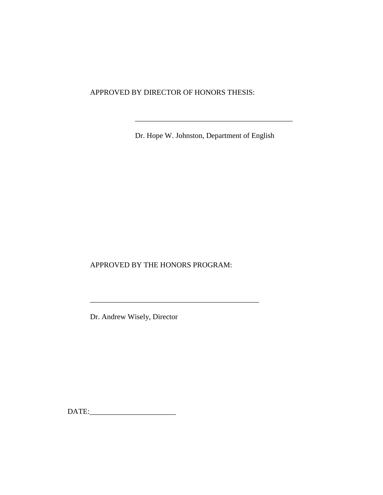APPROVED BY DIRECTOR OF HONORS THESIS:

Dr. Hope W. Johnston, Department of English

\_\_\_\_\_\_\_\_\_\_\_\_\_\_\_\_\_\_\_\_\_\_\_\_\_\_\_\_\_\_\_\_\_\_\_\_\_\_\_\_\_\_

APPROVED BY THE HONORS PROGRAM:

Dr. Andrew Wisely, Director

DATE:\_\_\_\_\_\_\_\_\_\_\_\_\_\_\_\_\_\_\_\_\_\_\_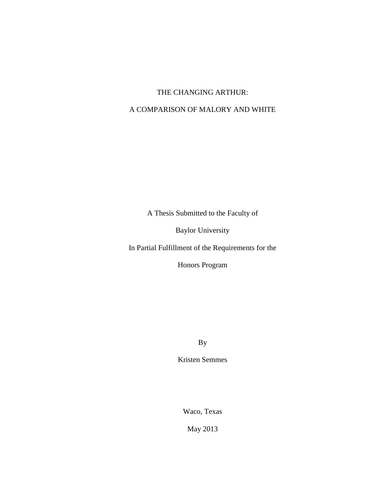# THE CHANGING ARTHUR:

# A COMPARISON OF MALORY AND WHITE

A Thesis Submitted to the Faculty of

Baylor University

In Partial Fulfillment of the Requirements for the

Honors Program

By

Kristen Semmes

Waco, Texas

May 2013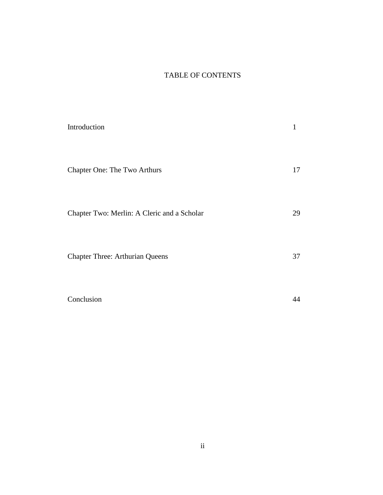# TABLE OF CONTENTS

| Introduction                                | 1  |
|---------------------------------------------|----|
| Chapter One: The Two Arthurs                | 17 |
| Chapter Two: Merlin: A Cleric and a Scholar | 29 |
| <b>Chapter Three: Arthurian Queens</b>      | 37 |
| Conclusion                                  |    |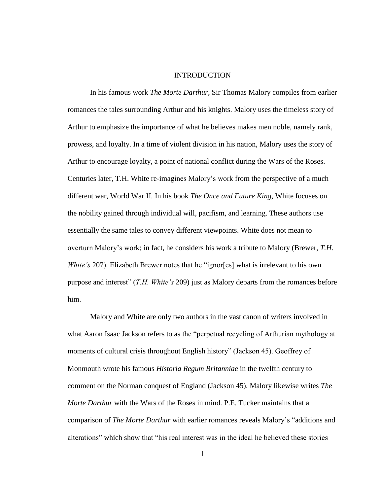#### INTRODUCTION

In his famous work *The Morte Darthur,* Sir Thomas Malory compiles from earlier romances the tales surrounding Arthur and his knights. Malory uses the timeless story of Arthur to emphasize the importance of what he believes makes men noble, namely rank, prowess, and loyalty. In a time of violent division in his nation, Malory uses the story of Arthur to encourage loyalty, a point of national conflict during the Wars of the Roses. Centuries later, T.H. White re-imagines Malory's work from the perspective of a much different war, World War II. In his book *The Once and Future King,* White focuses on the nobility gained through individual will, pacifism, and learning. These authors use essentially the same tales to convey different viewpoints. White does not mean to overturn Malory's work; in fact, he considers his work a tribute to Malory (Brewer, *T.H. White's* 207). Elizabeth Brewer notes that he "ignor[es] what is irrelevant to his own purpose and interest" (*T.H. White's* 209) just as Malory departs from the romances before him.

Malory and White are only two authors in the vast canon of writers involved in what Aaron Isaac Jackson refers to as the "perpetual recycling of Arthurian mythology at moments of cultural crisis throughout English history" (Jackson 45). Geoffrey of Monmouth wrote his famous *Historia Regum Britanniae* in the twelfth century to comment on the Norman conquest of England (Jackson 45). Malory likewise writes *The Morte Darthur* with the Wars of the Roses in mind. P.E. Tucker maintains that a comparison of *The Morte Darthur* with earlier romances reveals Malory's "additions and alterations" which show that "his real interest was in the ideal he believed these stories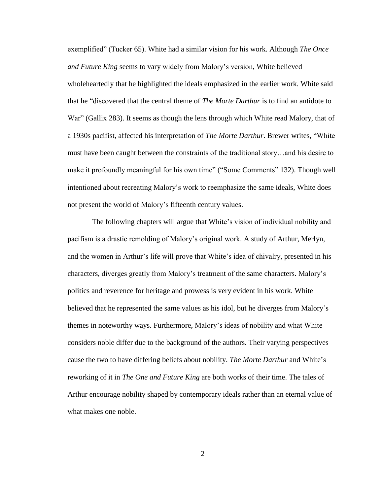exemplified" (Tucker 65). White had a similar vision for his work. Although *The Once and Future King* seems to vary widely from Malory's version, White believed wholeheartedly that he highlighted the ideals emphasized in the earlier work. White said that he "discovered that the central theme of *The Morte Darthur* is to find an antidote to War" (Gallix 283). It seems as though the lens through which White read Malory, that of a 1930s pacifist, affected his interpretation of *The Morte Darthur*. Brewer writes, "White must have been caught between the constraints of the traditional story…and his desire to make it profoundly meaningful for his own time" ("Some Comments" 132). Though well intentioned about recreating Malory's work to reemphasize the same ideals, White does not present the world of Malory's fifteenth century values.

The following chapters will argue that White's vision of individual nobility and pacifism is a drastic remolding of Malory's original work. A study of Arthur, Merlyn, and the women in Arthur's life will prove that White's idea of chivalry, presented in his characters, diverges greatly from Malory's treatment of the same characters. Malory's politics and reverence for heritage and prowess is very evident in his work. White believed that he represented the same values as his idol, but he diverges from Malory's themes in noteworthy ways. Furthermore, Malory's ideas of nobility and what White considers noble differ due to the background of the authors. Their varying perspectives cause the two to have differing beliefs about nobility. *The Morte Darthur* and White's reworking of it in *The One and Future King* are both works of their time. The tales of Arthur encourage nobility shaped by contemporary ideals rather than an eternal value of what makes one noble.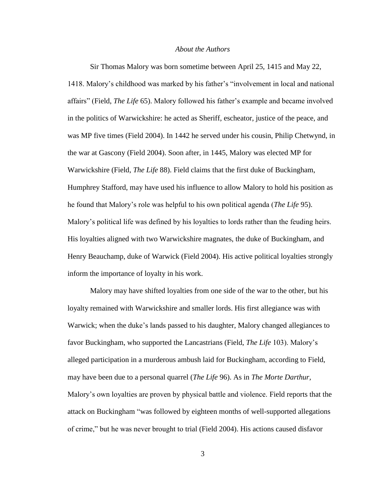#### *About the Authors*

Sir Thomas Malory was born sometime between April 25, 1415 and May 22, 1418. Malory's childhood was marked by his father's "involvement in local and national affairs" (Field, *The Life* 65). Malory followed his father's example and became involved in the politics of Warwickshire: he acted as Sheriff, escheator, justice of the peace, and was MP five times (Field 2004). In 1442 he served under his cousin, Philip Chetwynd, in the war at Gascony (Field 2004). Soon after, in 1445, Malory was elected MP for Warwickshire (Field, *The Life* 88). Field claims that the first duke of Buckingham, Humphrey Stafford, may have used his influence to allow Malory to hold his position as he found that Malory's role was helpful to his own political agenda (*The Life* 95). Malory's political life was defined by his loyalties to lords rather than the feuding heirs. His loyalties aligned with two Warwickshire magnates, the duke of Buckingham, and Henry Beauchamp, duke of Warwick (Field 2004). His active political loyalties strongly inform the importance of loyalty in his work.

Malory may have shifted loyalties from one side of the war to the other, but his loyalty remained with Warwickshire and smaller lords. His first allegiance was with Warwick; when the duke's lands passed to his daughter, Malory changed allegiances to favor Buckingham, who supported the Lancastrians (Field, *The Life* 103). Malory's alleged participation in a murderous ambush laid for Buckingham, according to Field, may have been due to a personal quarrel (*The Life* 96). As in *The Morte Darthur,*  Malory's own loyalties are proven by physical battle and violence. Field reports that the attack on Buckingham "was followed by eighteen months of well-supported allegations of crime," but he was never brought to trial (Field 2004). His actions caused disfavor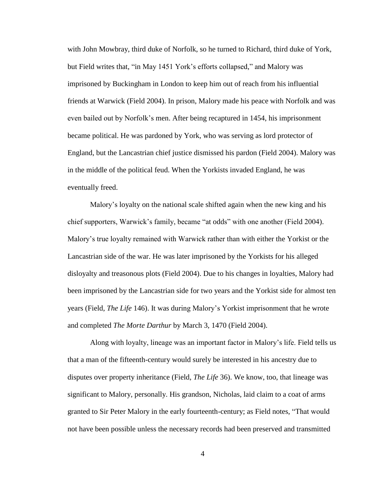with John Mowbray, third duke of Norfolk, so he turned to Richard, third duke of York, but Field writes that, "in May 1451 York's efforts collapsed," and Malory was imprisoned by Buckingham in London to keep him out of reach from his influential friends at Warwick (Field 2004). In prison, Malory made his peace with Norfolk and was even bailed out by Norfolk's men. After being recaptured in 1454, his imprisonment became political. He was pardoned by York, who was serving as lord protector of England, but the Lancastrian chief justice dismissed his pardon (Field 2004). Malory was in the middle of the political feud. When the Yorkists invaded England, he was eventually freed.

Malory's loyalty on the national scale shifted again when the new king and his chief supporters, Warwick's family, became "at odds" with one another (Field 2004). Malory's true loyalty remained with Warwick rather than with either the Yorkist or the Lancastrian side of the war. He was later imprisoned by the Yorkists for his alleged disloyalty and treasonous plots (Field 2004). Due to his changes in loyalties, Malory had been imprisoned by the Lancastrian side for two years and the Yorkist side for almost ten years (Field, *The Life* 146). It was during Malory's Yorkist imprisonment that he wrote and completed *The Morte Darthur* by March 3, 1470 (Field 2004).

Along with loyalty, lineage was an important factor in Malory's life. Field tells us that a man of the fifteenth-century would surely be interested in his ancestry due to disputes over property inheritance (Field, *The Life* 36). We know, too, that lineage was significant to Malory, personally. His grandson, Nicholas, laid claim to a coat of arms granted to Sir Peter Malory in the early fourteenth-century; as Field notes, "That would not have been possible unless the necessary records had been preserved and transmitted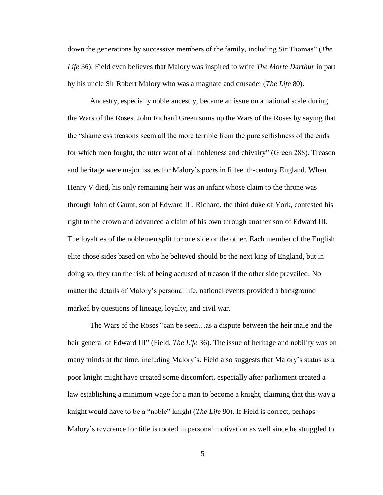down the generations by successive members of the family, including Sir Thomas" (*The Life* 36). Field even believes that Malory was inspired to write *The Morte Darthur* in part by his uncle Sir Robert Malory who was a magnate and crusader (*The Life* 80).

Ancestry, especially noble ancestry, became an issue on a national scale during the Wars of the Roses. John Richard Green sums up the Wars of the Roses by saying that the "shameless treasons seem all the more terrible from the pure selfishness of the ends for which men fought, the utter want of all nobleness and chivalry" (Green 288). Treason and heritage were major issues for Malory's peers in fifteenth-century England. When Henry V died, his only remaining heir was an infant whose claim to the throne was through John of Gaunt, son of Edward III. Richard, the third duke of York, contested his right to the crown and advanced a claim of his own through another son of Edward III. The loyalties of the noblemen split for one side or the other. Each member of the English elite chose sides based on who he believed should be the next king of England, but in doing so, they ran the risk of being accused of treason if the other side prevailed. No matter the details of Malory's personal life, national events provided a background marked by questions of lineage, loyalty, and civil war.

The Wars of the Roses "can be seen…as a dispute between the heir male and the heir general of Edward III" (Field, *The Life* 36). The issue of heritage and nobility was on many minds at the time, including Malory's. Field also suggests that Malory's status as a poor knight might have created some discomfort, especially after parliament created a law establishing a minimum wage for a man to become a knight, claiming that this way a knight would have to be a "noble" knight (*The Life* 90). If Field is correct, perhaps Malory's reverence for title is rooted in personal motivation as well since he struggled to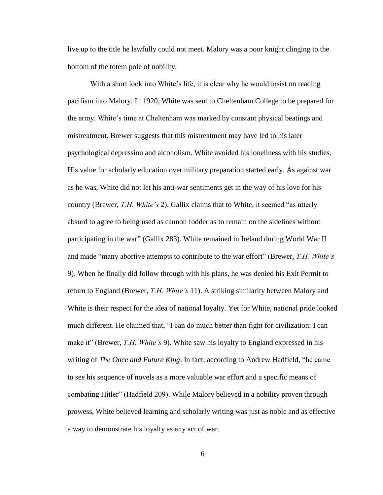live up to the title he lawfully could not meet. Malory was a poor knight clinging to the bottom of the totem pole of nobility.

With a short look into White's life, it is clear why he would insist on reading pacifism into Malory. In 1920, White was sent to Cheltenham College to be prepared for the army. White's time at Cheltenham was marked by constant physical beatings and mistreatment. Brewer suggests that this mistreatment may have led to his later psychological depression and alcoholism. White avoided his loneliness with his studies. His value for scholarly education over military preparation started early. As against war as he was, White did not let his anti-war sentiments get in the way of his love for his country (Brewer, *T.H. White's* 2). Gallix claims that to White, it seemed "as utterly absurd to agree to being used as cannon fodder as to remain on the sidelines without participating in the war" (Gallix 283). White remained in Ireland during World War II and made "many abortive attempts to contribute to the war effort" (Brewer, *T.H. White's*  9). When he finally did follow through with his plans, he was denied his Exit Permit to return to England (Brewer, *T.H. White's* 11). A striking similarity between Malory and White is their respect for the idea of national loyalty. Yet for White, national pride looked much different. He claimed that, "I can do much better than fight for civilization: I can make it" (Brewer, *T.H. White's* 9). White saw his loyalty to England expressed in his writing of *The Once and Future King*. In fact, according to Andrew Hadfield, "he came to see his sequence of novels as a more valuable war effort and a specific means of combating Hitler" (Hadfield 209). While Malory believed in a nobility proven through prowess, White believed learning and scholarly writing was just as noble and as effective a way to demonstrate his loyalty as any act of war.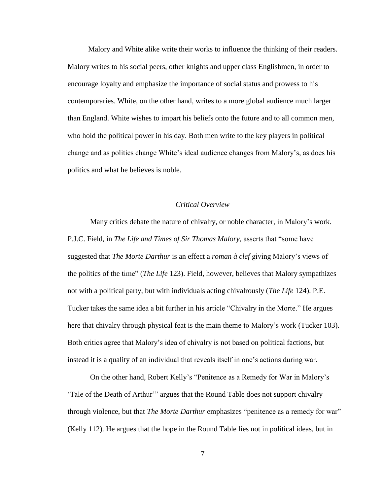Malory and White alike write their works to influence the thinking of their readers. Malory writes to his social peers, other knights and upper class Englishmen, in order to encourage loyalty and emphasize the importance of social status and prowess to his contemporaries. White, on the other hand, writes to a more global audience much larger than England. White wishes to impart his beliefs onto the future and to all common men, who hold the political power in his day. Both men write to the key players in political change and as politics change White's ideal audience changes from Malory's, as does his politics and what he believes is noble.

### *Critical Overview*

Many critics debate the nature of chivalry, or noble character, in Malory's work. P.J.C. Field, in *The Life and Times of Sir Thomas Malory,* asserts that "some have suggested that *The Morte Darthur* is an effect a *roman à clef* giving Malory's views of the politics of the time" (*The Life* 123). Field, however, believes that Malory sympathizes not with a political party, but with individuals acting chivalrously (*The Life* 124). P.E. Tucker takes the same idea a bit further in his article "Chivalry in the Morte." He argues here that chivalry through physical feat is the main theme to Malory's work (Tucker 103). Both critics agree that Malory's idea of chivalry is not based on political factions, but instead it is a quality of an individual that reveals itself in one's actions during war.

On the other hand, Robert Kelly's "Penitence as a Remedy for War in Malory's 'Tale of the Death of Arthur'" argues that the Round Table does not support chivalry through violence, but that *The Morte Darthur* emphasizes "penitence as a remedy for war" (Kelly 112). He argues that the hope in the Round Table lies not in political ideas, but in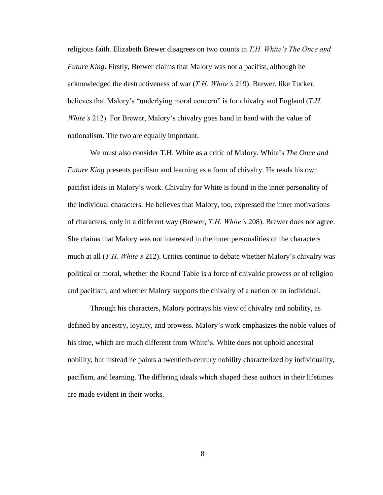religious faith. Elizabeth Brewer disagrees on two counts in *T.H. White's The Once and Future King*. Firstly, Brewer claims that Malory was not a pacifist, although he acknowledged the destructiveness of war (*T.H. White's* 219). Brewer, like Tucker, believes that Malory's "underlying moral concern" is for chivalry and England (*T.H. White's* 212). For Brewer, Malory's chivalry goes hand in hand with the value of nationalism. The two are equally important.

We must also consider T.H. White as a critic of Malory. White's *The Once and Future King* presents pacifism and learning as a form of chivalry. He reads his own pacifist ideas in Malory's work. Chivalry for White is found in the inner personality of the individual characters. He believes that Malory, too, expressed the inner motivations of characters, only in a different way (Brewer, *T.H. White's* 208). Brewer does not agree. She claims that Malory was not interested in the inner personalities of the characters much at all (*T.H. White's* 212). Critics continue to debate whether Malory's chivalry was political or moral, whether the Round Table is a force of chivalric prowess or of religion and pacifism, and whether Malory supports the chivalry of a nation or an individual.

Through his characters, Malory portrays his view of chivalry and nobility, as defined by ancestry, loyalty, and prowess. Malory's work emphasizes the noble values of his time, which are much different from White's. White does not uphold ancestral nobility, but instead he paints a twentieth-century nobility characterized by individuality, pacifism, and learning. The differing ideals which shaped these authors in their lifetimes are made evident in their works.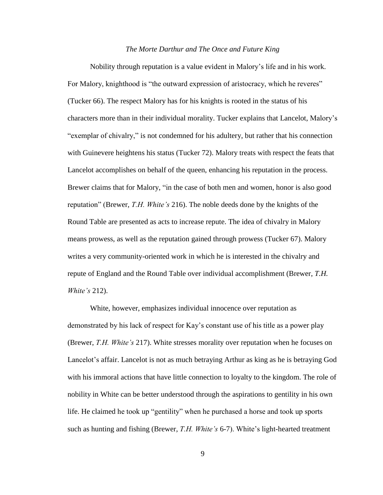#### *The Morte Darthur and The Once and Future King*

Nobility through reputation is a value evident in Malory's life and in his work. For Malory, knighthood is "the outward expression of aristocracy, which he reveres" (Tucker 66). The respect Malory has for his knights is rooted in the status of his characters more than in their individual morality. Tucker explains that Lancelot, Malory's "exemplar of chivalry," is not condemned for his adultery, but rather that his connection with Guinevere heightens his status (Tucker 72). Malory treats with respect the feats that Lancelot accomplishes on behalf of the queen, enhancing his reputation in the process. Brewer claims that for Malory, "in the case of both men and women, honor is also good reputation" (Brewer, *T.H. White's* 216). The noble deeds done by the knights of the Round Table are presented as acts to increase repute. The idea of chivalry in Malory means prowess, as well as the reputation gained through prowess (Tucker 67). Malory writes a very community-oriented work in which he is interested in the chivalry and repute of England and the Round Table over individual accomplishment (Brewer, *T.H. White's* 212).

White, however, emphasizes individual innocence over reputation as demonstrated by his lack of respect for Kay's constant use of his title as a power play (Brewer, *T.H. White's* 217). White stresses morality over reputation when he focuses on Lancelot's affair. Lancelot is not as much betraying Arthur as king as he is betraying God with his immoral actions that have little connection to loyalty to the kingdom. The role of nobility in White can be better understood through the aspirations to gentility in his own life. He claimed he took up "gentility" when he purchased a horse and took up sports such as hunting and fishing (Brewer, *T.H. White's* 6-7). White's light-hearted treatment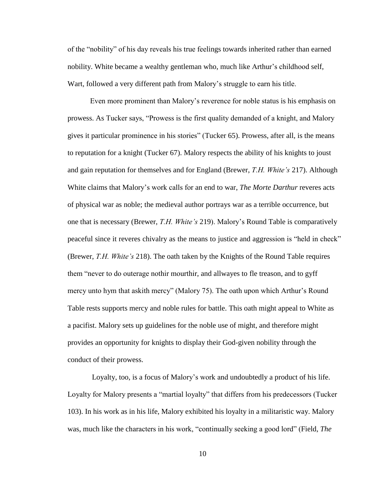of the "nobility" of his day reveals his true feelings towards inherited rather than earned nobility. White became a wealthy gentleman who, much like Arthur's childhood self, Wart, followed a very different path from Malory's struggle to earn his title.

Even more prominent than Malory's reverence for noble status is his emphasis on prowess. As Tucker says, "Prowess is the first quality demanded of a knight, and Malory gives it particular prominence in his stories" (Tucker 65). Prowess, after all, is the means to reputation for a knight (Tucker 67). Malory respects the ability of his knights to joust and gain reputation for themselves and for England (Brewer, *T.H. White's* 217). Although White claims that Malory's work calls for an end to war, *The Morte Darthur* reveres acts of physical war as noble; the medieval author portrays war as a terrible occurrence, but one that is necessary (Brewer, *T.H. White's* 219). Malory's Round Table is comparatively peaceful since it reveres chivalry as the means to justice and aggression is "held in check" (Brewer, *T.H. White's* 218). The oath taken by the Knights of the Round Table requires them "never to do outerage nothir mourthir, and allwayes to fle treason, and to gyff mercy unto hym that askith mercy" (Malory 75). The oath upon which Arthur's Round Table rests supports mercy and noble rules for battle. This oath might appeal to White as a pacifist. Malory sets up guidelines for the noble use of might, and therefore might provides an opportunity for knights to display their God-given nobility through the conduct of their prowess.

Loyalty, too, is a focus of Malory's work and undoubtedly a product of his life. Loyalty for Malory presents a "martial loyalty" that differs from his predecessors (Tucker 103). In his work as in his life, Malory exhibited his loyalty in a militaristic way. Malory was, much like the characters in his work, "continually seeking a good lord" (Field, *The*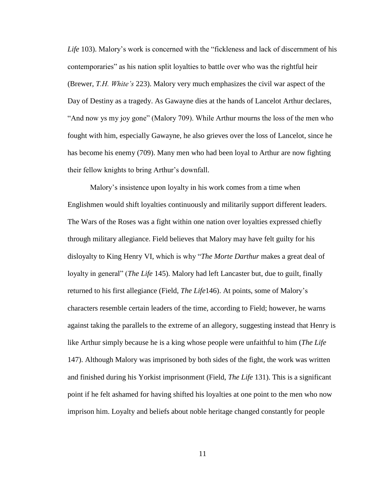*Life* 103). Malory's work is concerned with the "fickleness and lack of discernment of his contemporaries" as his nation split loyalties to battle over who was the rightful heir (Brewer, *T.H. White's* 223). Malory very much emphasizes the civil war aspect of the Day of Destiny as a tragedy. As Gawayne dies at the hands of Lancelot Arthur declares, "And now ys my joy gone" (Malory 709). While Arthur mourns the loss of the men who fought with him, especially Gawayne, he also grieves over the loss of Lancelot, since he has become his enemy (709). Many men who had been loyal to Arthur are now fighting their fellow knights to bring Arthur's downfall.

Malory's insistence upon loyalty in his work comes from a time when Englishmen would shift loyalties continuously and militarily support different leaders. The Wars of the Roses was a fight within one nation over loyalties expressed chiefly through military allegiance. Field believes that Malory may have felt guilty for his disloyalty to King Henry VI, which is why "*The Morte Darthur* makes a great deal of loyalty in general" (*The Life* 145). Malory had left Lancaster but, due to guilt, finally returned to his first allegiance (Field, *The Life*146). At points, some of Malory's characters resemble certain leaders of the time, according to Field; however, he warns against taking the parallels to the extreme of an allegory, suggesting instead that Henry is like Arthur simply because he is a king whose people were unfaithful to him (*The Life*  147). Although Malory was imprisoned by both sides of the fight, the work was written and finished during his Yorkist imprisonment (Field, *The Life* 131). This is a significant point if he felt ashamed for having shifted his loyalties at one point to the men who now imprison him. Loyalty and beliefs about noble heritage changed constantly for people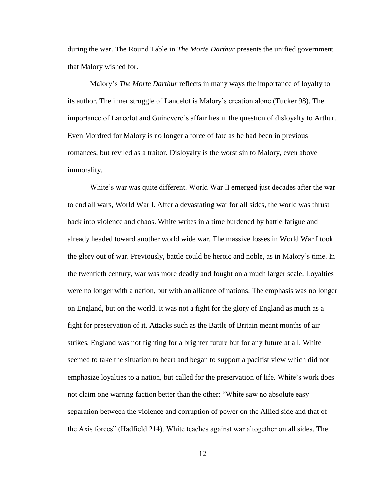during the war. The Round Table in *The Morte Darthur* presents the unified government that Malory wished for.

Malory's *The Morte Darthur* reflects in many ways the importance of loyalty to its author. The inner struggle of Lancelot is Malory's creation alone (Tucker 98). The importance of Lancelot and Guinevere's affair lies in the question of disloyalty to Arthur. Even Mordred for Malory is no longer a force of fate as he had been in previous romances, but reviled as a traitor. Disloyalty is the worst sin to Malory, even above immorality.

White's war was quite different. World War II emerged just decades after the war to end all wars, World War I. After a devastating war for all sides, the world was thrust back into violence and chaos. White writes in a time burdened by battle fatigue and already headed toward another world wide war. The massive losses in World War I took the glory out of war. Previously, battle could be heroic and noble, as in Malory's time. In the twentieth century, war was more deadly and fought on a much larger scale. Loyalties were no longer with a nation, but with an alliance of nations. The emphasis was no longer on England, but on the world. It was not a fight for the glory of England as much as a fight for preservation of it. Attacks such as the Battle of Britain meant months of air strikes. England was not fighting for a brighter future but for any future at all. White seemed to take the situation to heart and began to support a pacifist view which did not emphasize loyalties to a nation, but called for the preservation of life. White's work does not claim one warring faction better than the other: "White saw no absolute easy separation between the violence and corruption of power on the Allied side and that of the Axis forces" (Hadfield 214). White teaches against war altogether on all sides. The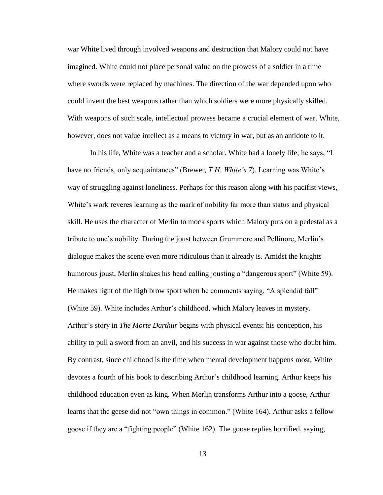war White lived through involved weapons and destruction that Malory could not have imagined. White could not place personal value on the prowess of a soldier in a time where swords were replaced by machines. The direction of the war depended upon who could invent the best weapons rather than which soldiers were more physically skilled. With weapons of such scale, intellectual prowess became a crucial element of war. White, however, does not value intellect as a means to victory in war, but as an antidote to it.

In his life, White was a teacher and a scholar. White had a lonely life; he says, "I have no friends, only acquaintances" (Brewer, *T.H. White's* 7). Learning was White's way of struggling against loneliness. Perhaps for this reason along with his pacifist views, White's work reveres learning as the mark of nobility far more than status and physical skill. He uses the character of Merlin to mock sports which Malory puts on a pedestal as a tribute to one's nobility. During the joust between Grummore and Pellinore, Merlin's dialogue makes the scene even more ridiculous than it already is. Amidst the knights humorous joust, Merlin shakes his head calling jousting a "dangerous sport" (White 59). He makes light of the high brow sport when he comments saying, "A splendid fall" (White 59). White includes Arthur's childhood, which Malory leaves in mystery. Arthur's story in *The Morte Darthur* begins with physical events: his conception, his ability to pull a sword from an anvil, and his success in war against those who doubt him. By contrast, since childhood is the time when mental development happens most, White devotes a fourth of his book to describing Arthur's childhood learning. Arthur keeps his childhood education even as king. When Merlin transforms Arthur into a goose, Arthur learns that the geese did not "own things in common." (White 164). Arthur asks a fellow goose if they are a "fighting people" (White 162). The goose replies horrified, saying,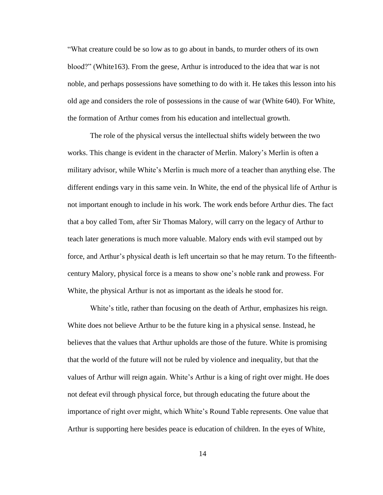"What creature could be so low as to go about in bands, to murder others of its own blood?" (White163). From the geese, Arthur is introduced to the idea that war is not noble, and perhaps possessions have something to do with it. He takes this lesson into his old age and considers the role of possessions in the cause of war (White 640). For White, the formation of Arthur comes from his education and intellectual growth.

The role of the physical versus the intellectual shifts widely between the two works. This change is evident in the character of Merlin. Malory's Merlin is often a military advisor, while White's Merlin is much more of a teacher than anything else. The different endings vary in this same vein. In White, the end of the physical life of Arthur is not important enough to include in his work. The work ends before Arthur dies. The fact that a boy called Tom, after Sir Thomas Malory, will carry on the legacy of Arthur to teach later generations is much more valuable. Malory ends with evil stamped out by force, and Arthur's physical death is left uncertain so that he may return. To the fifteenthcentury Malory, physical force is a means to show one's noble rank and prowess. For White, the physical Arthur is not as important as the ideals he stood for.

White's title, rather than focusing on the death of Arthur, emphasizes his reign. White does not believe Arthur to be the future king in a physical sense. Instead, he believes that the values that Arthur upholds are those of the future. White is promising that the world of the future will not be ruled by violence and inequality, but that the values of Arthur will reign again. White's Arthur is a king of right over might. He does not defeat evil through physical force, but through educating the future about the importance of right over might, which White's Round Table represents. One value that Arthur is supporting here besides peace is education of children. In the eyes of White,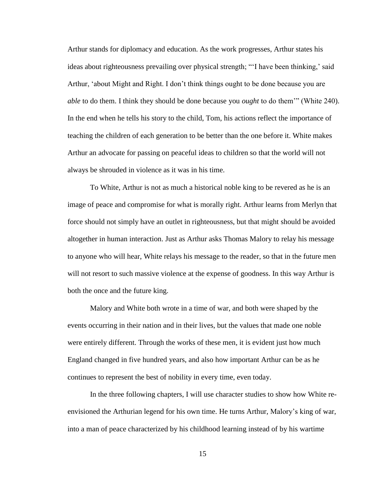Arthur stands for diplomacy and education. As the work progresses, Arthur states his ideas about righteousness prevailing over physical strength; "'I have been thinking,' said Arthur, 'about Might and Right. I don't think things ought to be done because you are *able* to do them. I think they should be done because you *ought* to do them'" (White 240). In the end when he tells his story to the child, Tom, his actions reflect the importance of teaching the children of each generation to be better than the one before it. White makes Arthur an advocate for passing on peaceful ideas to children so that the world will not always be shrouded in violence as it was in his time.

To White, Arthur is not as much a historical noble king to be revered as he is an image of peace and compromise for what is morally right. Arthur learns from Merlyn that force should not simply have an outlet in righteousness, but that might should be avoided altogether in human interaction. Just as Arthur asks Thomas Malory to relay his message to anyone who will hear, White relays his message to the reader, so that in the future men will not resort to such massive violence at the expense of goodness. In this way Arthur is both the once and the future king.

Malory and White both wrote in a time of war, and both were shaped by the events occurring in their nation and in their lives, but the values that made one noble were entirely different. Through the works of these men, it is evident just how much England changed in five hundred years, and also how important Arthur can be as he continues to represent the best of nobility in every time, even today.

In the three following chapters, I will use character studies to show how White reenvisioned the Arthurian legend for his own time. He turns Arthur, Malory's king of war, into a man of peace characterized by his childhood learning instead of by his wartime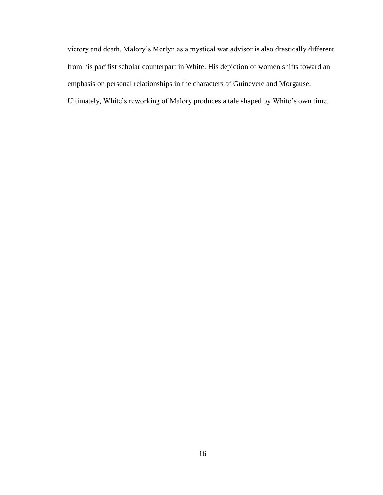victory and death. Malory's Merlyn as a mystical war advisor is also drastically different from his pacifist scholar counterpart in White. His depiction of women shifts toward an emphasis on personal relationships in the characters of Guinevere and Morgause. Ultimately, White's reworking of Malory produces a tale shaped by White's own time.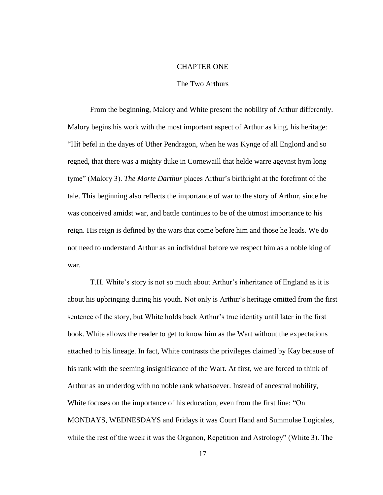#### CHAPTER ONE

#### The Two Arthurs

From the beginning, Malory and White present the nobility of Arthur differently. Malory begins his work with the most important aspect of Arthur as king, his heritage: "Hit befel in the dayes of Uther Pendragon, when he was Kynge of all Englond and so regned, that there was a mighty duke in Cornewaill that helde warre ageynst hym long tyme" (Malory 3). *The Morte Darthur* places Arthur's birthright at the forefront of the tale. This beginning also reflects the importance of war to the story of Arthur, since he was conceived amidst war, and battle continues to be of the utmost importance to his reign. His reign is defined by the wars that come before him and those he leads. We do not need to understand Arthur as an individual before we respect him as a noble king of war.

T.H. White's story is not so much about Arthur's inheritance of England as it is about his upbringing during his youth. Not only is Arthur's heritage omitted from the first sentence of the story, but White holds back Arthur's true identity until later in the first book. White allows the reader to get to know him as the Wart without the expectations attached to his lineage. In fact, White contrasts the privileges claimed by Kay because of his rank with the seeming insignificance of the Wart. At first, we are forced to think of Arthur as an underdog with no noble rank whatsoever. Instead of ancestral nobility, White focuses on the importance of his education, even from the first line: "On MONDAYS, WEDNESDAYS and Fridays it was Court Hand and Summulae Logicales, while the rest of the week it was the Organon, Repetition and Astrology" (White 3). The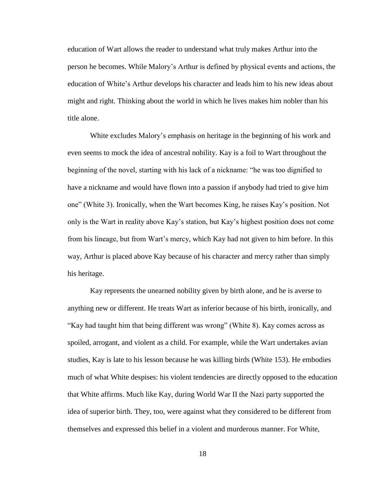education of Wart allows the reader to understand what truly makes Arthur into the person he becomes. While Malory's Arthur is defined by physical events and actions, the education of White's Arthur develops his character and leads him to his new ideas about might and right. Thinking about the world in which he lives makes him nobler than his title alone.

White excludes Malory's emphasis on heritage in the beginning of his work and even seems to mock the idea of ancestral nobility. Kay is a foil to Wart throughout the beginning of the novel, starting with his lack of a nickname: "he was too dignified to have a nickname and would have flown into a passion if anybody had tried to give him one" (White 3). Ironically, when the Wart becomes King, he raises Kay's position. Not only is the Wart in reality above Kay's station, but Kay's highest position does not come from his lineage, but from Wart's mercy, which Kay had not given to him before. In this way, Arthur is placed above Kay because of his character and mercy rather than simply his heritage.

Kay represents the unearned nobility given by birth alone, and he is averse to anything new or different. He treats Wart as inferior because of his birth, ironically, and "Kay had taught him that being different was wrong" (White 8). Kay comes across as spoiled, arrogant, and violent as a child. For example, while the Wart undertakes avian studies, Kay is late to his lesson because he was killing birds (White 153). He embodies much of what White despises: his violent tendencies are directly opposed to the education that White affirms. Much like Kay, during World War II the Nazi party supported the idea of superior birth. They, too, were against what they considered to be different from themselves and expressed this belief in a violent and murderous manner. For White,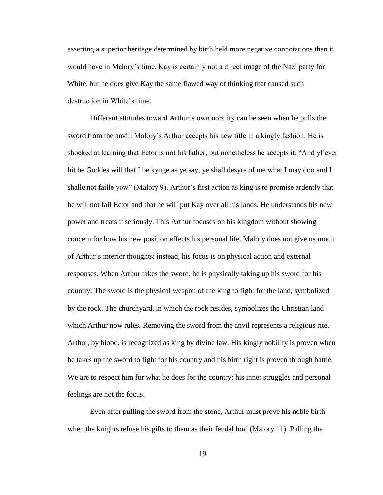asserting a superior heritage determined by birth held more negative connotations than it would have in Malory's time. Kay is certainly not a direct image of the Nazi party for White, but he does give Kay the same flawed way of thinking that caused such destruction in White's time.

Different attitudes toward Arthur's own nobility can be seen when he pulls the sword from the anvil: Malory's Arthur accepts his new title in a kingly fashion. He is shocked at learning that Ector is not his father, but nonetheless he accepts it, "And yf ever hit be Goddes will that I be kynge as ye say, ye shall desyre of me what I may doo and I shalle not faille yow" (Malory 9). Arthur's first action as king is to promise ardently that he will not fail Ector and that he will put Kay over all his lands. He understands his new power and treats it seriously. This Arthur focuses on his kingdom without showing concern for how his new position affects his personal life. Malory does not give us much of Arthur's interior thoughts; instead, his focus is on physical action and external responses. When Arthur takes the sword, he is physically taking up his sword for his country. The sword is the physical weapon of the king to fight for the land, symbolized by the rock. The churchyard, in which the rock resides, symbolizes the Christian land which Arthur now rules. Removing the sword from the anvil represents a religious rite. Arthur, by blood, is recognized as king by divine law. His kingly nobility is proven when he takes up the sword to fight for his country and his birth right is proven through battle. We are to respect him for what he does for the country; his inner struggles and personal feelings are not the focus.

Even after pulling the sword from the stone, Arthur must prove his noble birth when the knights refuse his gifts to them as their feudal lord (Malory 11). Pulling the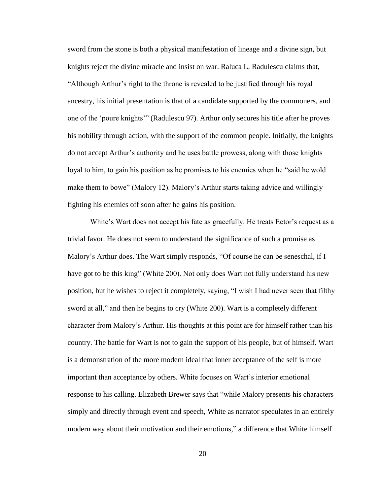sword from the stone is both a physical manifestation of lineage and a divine sign, but knights reject the divine miracle and insist on war. Raluca L. Radulescu claims that, "Although Arthur's right to the throne is revealed to be justified through his royal ancestry, his initial presentation is that of a candidate supported by the commoners, and one of the 'poure knights'" (Radulescu 97). Arthur only secures his title after he proves his nobility through action, with the support of the common people. Initially, the knights do not accept Arthur's authority and he uses battle prowess, along with those knights loyal to him, to gain his position as he promises to his enemies when he "said he wold make them to bowe" (Malory 12). Malory's Arthur starts taking advice and willingly fighting his enemies off soon after he gains his position.

White's Wart does not accept his fate as gracefully. He treats Ector's request as a trivial favor. He does not seem to understand the significance of such a promise as Malory's Arthur does. The Wart simply responds, "Of course he can be seneschal, if I have got to be this king" (White 200). Not only does Wart not fully understand his new position, but he wishes to reject it completely, saying, "I wish I had never seen that filthy sword at all," and then he begins to cry (White 200). Wart is a completely different character from Malory's Arthur. His thoughts at this point are for himself rather than his country. The battle for Wart is not to gain the support of his people, but of himself. Wart is a demonstration of the more modern ideal that inner acceptance of the self is more important than acceptance by others. White focuses on Wart's interior emotional response to his calling. Elizabeth Brewer says that "while Malory presents his characters simply and directly through event and speech, White as narrator speculates in an entirely modern way about their motivation and their emotions," a difference that White himself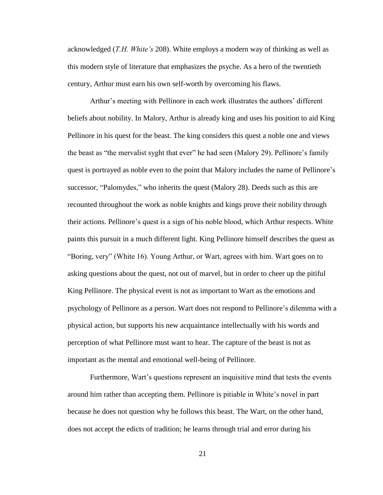acknowledged (*T.H. White's* 208). White employs a modern way of thinking as well as this modern style of literature that emphasizes the psyche. As a hero of the twentieth century, Arthur must earn his own self-worth by overcoming his flaws.

Arthur's meeting with Pellinore in each work illustrates the authors' different beliefs about nobility. In Malory, Arthur is already king and uses his position to aid King Pellinore in his quest for the beast. The king considers this quest a noble one and views the beast as "the mervalist syght that ever" he had seen (Malory 29). Pellinore's family quest is portrayed as noble even to the point that Malory includes the name of Pellinore's successor, "Palomydes," who inherits the quest (Malory 28). Deeds such as this are recounted throughout the work as noble knights and kings prove their nobility through their actions. Pellinore's quest is a sign of his noble blood, which Arthur respects. White paints this pursuit in a much different light. King Pellinore himself describes the quest as "Boring, very" (White 16). Young Arthur, or Wart, agrees with him. Wart goes on to asking questions about the quest, not out of marvel, but in order to cheer up the pitiful King Pellinore. The physical event is not as important to Wart as the emotions and psychology of Pellinore as a person. Wart does not respond to Pellinore's dilemma with a physical action, but supports his new acquaintance intellectually with his words and perception of what Pellinore must want to hear. The capture of the beast is not as important as the mental and emotional well-being of Pellinore.

Furthermore, Wart's questions represent an inquisitive mind that tests the events around him rather than accepting them. Pellinore is pitiable in White's novel in part because he does not question why he follows this beast. The Wart, on the other hand, does not accept the edicts of tradition; he learns through trial and error during his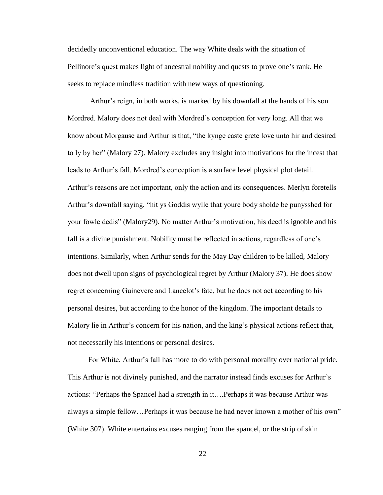decidedly unconventional education. The way White deals with the situation of Pellinore's quest makes light of ancestral nobility and quests to prove one's rank. He seeks to replace mindless tradition with new ways of questioning.

Arthur's reign, in both works, is marked by his downfall at the hands of his son Mordred. Malory does not deal with Mordred's conception for very long. All that we know about Morgause and Arthur is that, "the kynge caste grete love unto hir and desired to ly by her" (Malory 27). Malory excludes any insight into motivations for the incest that leads to Arthur's fall. Mordred's conception is a surface level physical plot detail. Arthur's reasons are not important, only the action and its consequences. Merlyn foretells Arthur's downfall saying, "hit ys Goddis wylle that youre body sholde be punysshed for your fowle dedis" (Malory29). No matter Arthur's motivation, his deed is ignoble and his fall is a divine punishment. Nobility must be reflected in actions, regardless of one's intentions. Similarly, when Arthur sends for the May Day children to be killed, Malory does not dwell upon signs of psychological regret by Arthur (Malory 37). He does show regret concerning Guinevere and Lancelot's fate, but he does not act according to his personal desires, but according to the honor of the kingdom. The important details to Malory lie in Arthur's concern for his nation, and the king's physical actions reflect that, not necessarily his intentions or personal desires.

For White, Arthur's fall has more to do with personal morality over national pride. This Arthur is not divinely punished, and the narrator instead finds excuses for Arthur's actions: "Perhaps the Spancel had a strength in it….Perhaps it was because Arthur was always a simple fellow…Perhaps it was because he had never known a mother of his own" (White 307). White entertains excuses ranging from the spancel, or the strip of skin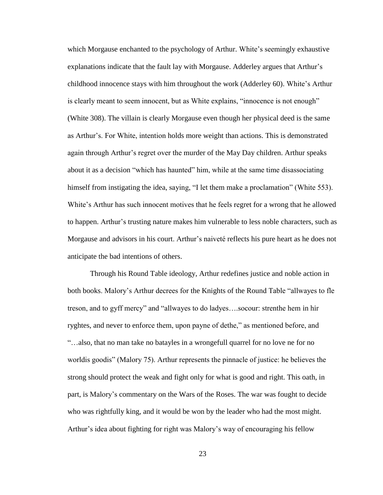which Morgause enchanted to the psychology of Arthur. White's seemingly exhaustive explanations indicate that the fault lay with Morgause. Adderley argues that Arthur's childhood innocence stays with him throughout the work (Adderley 60). White's Arthur is clearly meant to seem innocent, but as White explains, "innocence is not enough" (White 308). The villain is clearly Morgause even though her physical deed is the same as Arthur's. For White, intention holds more weight than actions. This is demonstrated again through Arthur's regret over the murder of the May Day children. Arthur speaks about it as a decision "which has haunted" him, while at the same time disassociating himself from instigating the idea, saying, "I let them make a proclamation" (White 553). White's Arthur has such innocent motives that he feels regret for a wrong that he allowed to happen. Arthur's trusting nature makes him vulnerable to less noble characters, such as Morgause and advisors in his court. Arthur's naiveté reflects his pure heart as he does not anticipate the bad intentions of others.

Through his Round Table ideology, Arthur redefines justice and noble action in both books. Malory's Arthur decrees for the Knights of the Round Table "allwayes to fle treson, and to gyff mercy" and "allwayes to do ladyes….socour: strenthe hem in hir ryghtes, and never to enforce them, upon payne of dethe," as mentioned before, and "…also, that no man take no batayles in a wrongefull quarrel for no love ne for no worldis goodis" (Malory 75). Arthur represents the pinnacle of justice: he believes the strong should protect the weak and fight only for what is good and right. This oath, in part, is Malory's commentary on the Wars of the Roses. The war was fought to decide who was rightfully king, and it would be won by the leader who had the most might. Arthur's idea about fighting for right was Malory's way of encouraging his fellow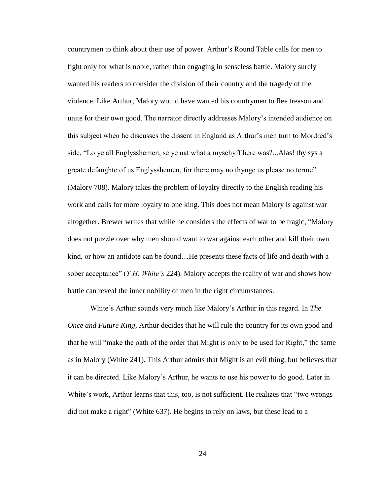countrymen to think about their use of power. Arthur's Round Table calls for men to fight only for what is noble, rather than engaging in senseless battle. Malory surely wanted his readers to consider the division of their country and the tragedy of the violence. Like Arthur, Malory would have wanted his countrymen to flee treason and unite for their own good. The narrator directly addresses Malory's intended audience on this subject when he discusses the dissent in England as Arthur's men turn to Mordred's side, "Lo ye all Englysshemen, se ye nat what a myschyff here was?...Alas! thy sys a greate defaughte of us Englysshemen, for there may no thynge us please no terme" (Malory 708). Malory takes the problem of loyalty directly to the English reading his work and calls for more loyalty to one king. This does not mean Malory is against war altogether. Brewer writes that while he considers the effects of war to be tragic, "Malory does not puzzle over why men should want to war against each other and kill their own kind, or how an antidote can be found...He presents these facts of life and death with a sober acceptance" (*T.H. White's* 224). Malory accepts the reality of war and shows how battle can reveal the inner nobility of men in the right circumstances.

White's Arthur sounds very much like Malory's Arthur in this regard. In *The Once and Future King,* Arthur decides that he will rule the country for its own good and that he will "make the oath of the order that Might is only to be used for Right," the same as in Malory (White 241). This Arthur admits that Might is an evil thing, but believes that it can be directed. Like Malory's Arthur, he wants to use his power to do good. Later in White's work, Arthur learns that this, too, is not sufficient. He realizes that "two wrongs did not make a right" (White 637). He begins to rely on laws, but these lead to a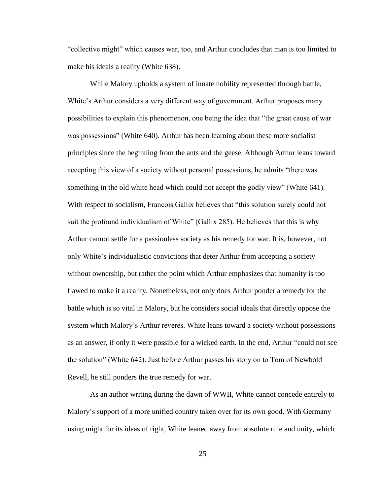"collective might" which causes war, too, and Arthur concludes that man is too limited to make his ideals a reality (White 638).

While Malory upholds a system of innate nobility represented through battle, White's Arthur considers a very different way of government. Arthur proposes many possibilities to explain this phenomenon, one being the idea that "the great cause of war was possessions" (White 640). Arthur has been learning about these more socialist principles since the beginning from the ants and the geese. Although Arthur leans toward accepting this view of a society without personal possessions, he admits "there was something in the old white head which could not accept the godly view" (White 641). With respect to socialism, Francois Gallix believes that "this solution surely could not suit the profound individualism of White" (Gallix 285). He believes that this is why Arthur cannot settle for a passionless society as his remedy for war. It is, however, not only White's individualistic convictions that deter Arthur from accepting a society without ownership, but rather the point which Arthur emphasizes that humanity is too flawed to make it a reality. Nonetheless, not only does Arthur ponder a remedy for the battle which is so vital in Malory, but he considers social ideals that directly oppose the system which Malory's Arthur reveres. White leans toward a society without possessions as an answer, if only it were possible for a wicked earth. In the end, Arthur "could not see the solution" (White 642). Just before Arthur passes his story on to Tom of Newbold Revell, he still ponders the true remedy for war.

As an author writing during the dawn of WWII, White cannot concede entirely to Malory's support of a more unified country taken over for its own good. With Germany using might for its ideas of right, White leaned away from absolute rule and unity, which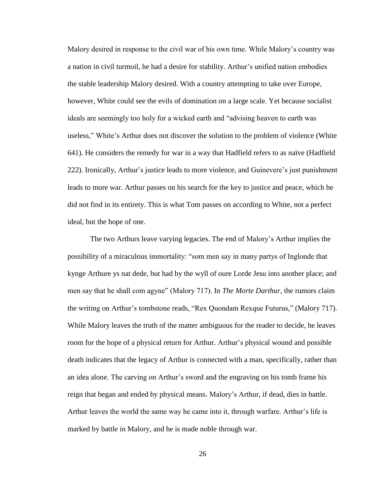Malory desired in response to the civil war of his own time. While Malory's country was a nation in civil turmoil, he had a desire for stability. Arthur's unified nation embodies the stable leadership Malory desired. With a country attempting to take over Europe, however, White could see the evils of domination on a large scale. Yet because socialist ideals are seemingly too holy for a wicked earth and "advising heaven to earth was useless," White's Arthur does not discover the solution to the problem of violence (White 641). He considers the remedy for war in a way that Hadfield refers to as naïve (Hadfield 222). Ironically, Arthur's justice leads to more violence, and Guinevere's just punishment leads to more war. Arthur passes on his search for the key to justice and peace, which he did not find in its entirety. This is what Tom passes on according to White, not a perfect ideal, but the hope of one.

The two Arthurs leave varying legacies. The end of Malory's Arthur implies the possibility of a miraculous immortality: "som men say in many partys of Inglonde that kynge Arthure ys nat dede, but had by the wyll of oure Lorde Jesu into another place; and men say that he shall com agyne" (Malory 717). In *The Morte Darthur*, the rumors claim the writing on Arthur's tombstone reads, "Rex Quondam Rexque Futurus," (Malory 717). While Malory leaves the truth of the matter ambiguous for the reader to decide, he leaves room for the hope of a physical return for Arthur. Arthur's physical wound and possible death indicates that the legacy of Arthur is connected with a man, specifically, rather than an idea alone. The carving on Arthur's sword and the engraving on his tomb frame his reign that began and ended by physical means. Malory's Arthur, if dead, dies in battle. Arthur leaves the world the same way he came into it, through warfare. Arthur's life is marked by battle in Malory, and he is made noble through war.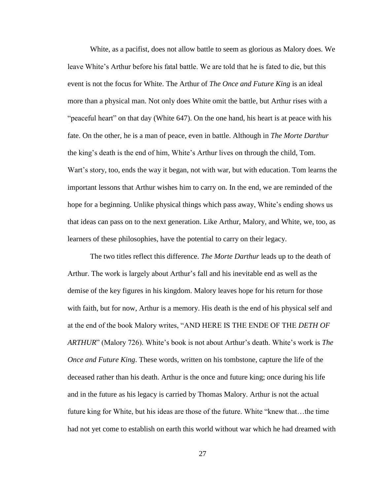White, as a pacifist, does not allow battle to seem as glorious as Malory does. We leave White's Arthur before his fatal battle. We are told that he is fated to die, but this event is not the focus for White. The Arthur of *The Once and Future King* is an ideal more than a physical man. Not only does White omit the battle, but Arthur rises with a "peaceful heart" on that day (White 647). On the one hand, his heart is at peace with his fate. On the other, he is a man of peace, even in battle. Although in *The Morte Darthur*  the king's death is the end of him, White's Arthur lives on through the child, Tom. Wart's story, too, ends the way it began, not with war, but with education. Tom learns the important lessons that Arthur wishes him to carry on. In the end, we are reminded of the hope for a beginning. Unlike physical things which pass away, White's ending shows us that ideas can pass on to the next generation. Like Arthur, Malory, and White, we, too, as learners of these philosophies, have the potential to carry on their legacy.

The two titles reflect this difference. *The Morte Darthur* leads up to the death of Arthur. The work is largely about Arthur's fall and his inevitable end as well as the demise of the key figures in his kingdom. Malory leaves hope for his return for those with faith, but for now, Arthur is a memory. His death is the end of his physical self and at the end of the book Malory writes, "AND HERE IS THE ENDE OF THE *DETH OF ARTHUR*" (Malory 726). White's book is not about Arthur's death. White's work is *The Once and Future King*. These words, written on his tombstone, capture the life of the deceased rather than his death. Arthur is the once and future king; once during his life and in the future as his legacy is carried by Thomas Malory. Arthur is not the actual future king for White, but his ideas are those of the future. White "knew that…the time had not yet come to establish on earth this world without war which he had dreamed with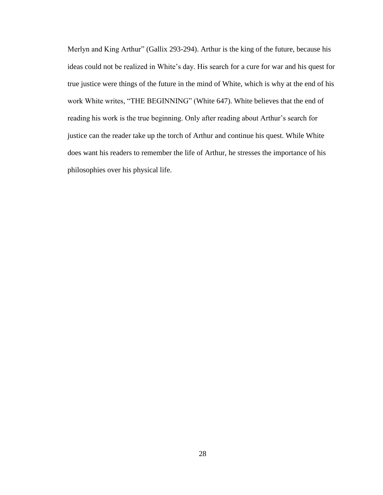Merlyn and King Arthur" (Gallix 293-294). Arthur is the king of the future, because his ideas could not be realized in White's day. His search for a cure for war and his quest for true justice were things of the future in the mind of White, which is why at the end of his work White writes, "THE BEGINNING" (White 647). White believes that the end of reading his work is the true beginning. Only after reading about Arthur's search for justice can the reader take up the torch of Arthur and continue his quest. While White does want his readers to remember the life of Arthur, he stresses the importance of his philosophies over his physical life.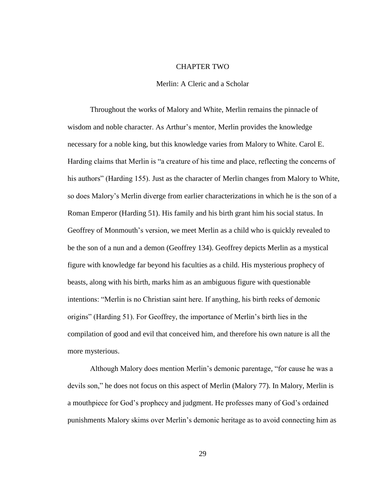#### CHAPTER TWO

### Merlin: A Cleric and a Scholar

Throughout the works of Malory and White, Merlin remains the pinnacle of wisdom and noble character. As Arthur's mentor, Merlin provides the knowledge necessary for a noble king, but this knowledge varies from Malory to White. Carol E. Harding claims that Merlin is "a creature of his time and place, reflecting the concerns of his authors" (Harding 155). Just as the character of Merlin changes from Malory to White, so does Malory's Merlin diverge from earlier characterizations in which he is the son of a Roman Emperor (Harding 51). His family and his birth grant him his social status. In Geoffrey of Monmouth's version, we meet Merlin as a child who is quickly revealed to be the son of a nun and a demon (Geoffrey 134). Geoffrey depicts Merlin as a mystical figure with knowledge far beyond his faculties as a child. His mysterious prophecy of beasts, along with his birth, marks him as an ambiguous figure with questionable intentions: "Merlin is no Christian saint here. If anything, his birth reeks of demonic origins" (Harding 51). For Geoffrey, the importance of Merlin's birth lies in the compilation of good and evil that conceived him, and therefore his own nature is all the more mysterious.

Although Malory does mention Merlin's demonic parentage, "for cause he was a devils son," he does not focus on this aspect of Merlin (Malory 77). In Malory, Merlin is a mouthpiece for God's prophecy and judgment. He professes many of God's ordained punishments Malory skims over Merlin's demonic heritage as to avoid connecting him as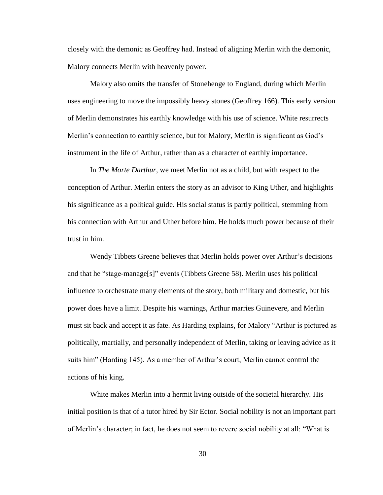closely with the demonic as Geoffrey had. Instead of aligning Merlin with the demonic, Malory connects Merlin with heavenly power.

Malory also omits the transfer of Stonehenge to England, during which Merlin uses engineering to move the impossibly heavy stones (Geoffrey 166). This early version of Merlin demonstrates his earthly knowledge with his use of science. White resurrects Merlin's connection to earthly science, but for Malory, Merlin is significant as God's instrument in the life of Arthur, rather than as a character of earthly importance.

In *The Morte Darthur*, we meet Merlin not as a child, but with respect to the conception of Arthur. Merlin enters the story as an advisor to King Uther, and highlights his significance as a political guide. His social status is partly political, stemming from his connection with Arthur and Uther before him. He holds much power because of their trust in him.

Wendy Tibbets Greene believes that Merlin holds power over Arthur's decisions and that he "stage-manage[s]" events (Tibbets Greene 58). Merlin uses his political influence to orchestrate many elements of the story, both military and domestic, but his power does have a limit. Despite his warnings, Arthur marries Guinevere, and Merlin must sit back and accept it as fate. As Harding explains, for Malory "Arthur is pictured as politically, martially, and personally independent of Merlin, taking or leaving advice as it suits him" (Harding 145). As a member of Arthur's court, Merlin cannot control the actions of his king.

White makes Merlin into a hermit living outside of the societal hierarchy. His initial position is that of a tutor hired by Sir Ector. Social nobility is not an important part of Merlin's character; in fact, he does not seem to revere social nobility at all: "What is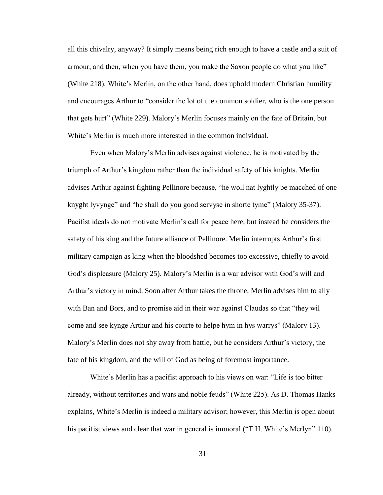all this chivalry, anyway? It simply means being rich enough to have a castle and a suit of armour, and then, when you have them, you make the Saxon people do what you like" (White 218). White's Merlin, on the other hand, does uphold modern Christian humility and encourages Arthur to "consider the lot of the common soldier, who is the one person that gets hurt" (White 229). Malory's Merlin focuses mainly on the fate of Britain, but White's Merlin is much more interested in the common individual.

Even when Malory's Merlin advises against violence, he is motivated by the triumph of Arthur's kingdom rather than the individual safety of his knights. Merlin advises Arthur against fighting Pellinore because, "he woll nat lyghtly be macched of one knyght lyvynge" and "he shall do you good servyse in shorte tyme" (Malory 35-37). Pacifist ideals do not motivate Merlin's call for peace here, but instead he considers the safety of his king and the future alliance of Pellinore. Merlin interrupts Arthur's first military campaign as king when the bloodshed becomes too excessive, chiefly to avoid God's displeasure (Malory 25). Malory's Merlin is a war advisor with God's will and Arthur's victory in mind. Soon after Arthur takes the throne, Merlin advises him to ally with Ban and Bors, and to promise aid in their war against Claudas so that "they wil come and see kynge Arthur and his courte to helpe hym in hys warrys" (Malory 13). Malory's Merlin does not shy away from battle, but he considers Arthur's victory, the fate of his kingdom, and the will of God as being of foremost importance.

White's Merlin has a pacifist approach to his views on war: "Life is too bitter already, without territories and wars and noble feuds" (White 225). As D. Thomas Hanks explains, White's Merlin is indeed a military advisor; however, this Merlin is open about his pacifist views and clear that war in general is immoral ("T.H. White's Merlyn" 110).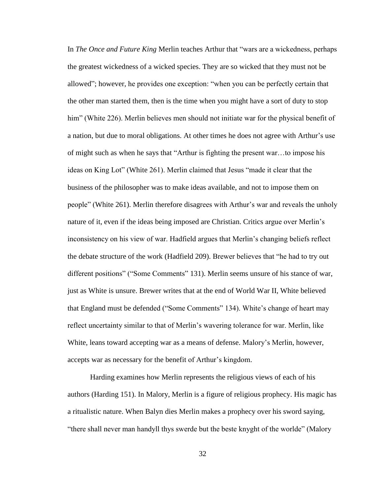In *The Once and Future King* Merlin teaches Arthur that "wars are a wickedness, perhaps the greatest wickedness of a wicked species. They are so wicked that they must not be allowed"; however, he provides one exception: "when you can be perfectly certain that the other man started them, then is the time when you might have a sort of duty to stop him" (White 226). Merlin believes men should not initiate war for the physical benefit of a nation, but due to moral obligations. At other times he does not agree with Arthur's use of might such as when he says that "Arthur is fighting the present war…to impose his ideas on King Lot" (White 261). Merlin claimed that Jesus "made it clear that the business of the philosopher was to make ideas available, and not to impose them on people" (White 261). Merlin therefore disagrees with Arthur's war and reveals the unholy nature of it, even if the ideas being imposed are Christian. Critics argue over Merlin's inconsistency on his view of war. Hadfield argues that Merlin's changing beliefs reflect the debate structure of the work (Hadfield 209). Brewer believes that "he had to try out different positions" ("Some Comments" 131). Merlin seems unsure of his stance of war, just as White is unsure. Brewer writes that at the end of World War II, White believed that England must be defended ("Some Comments" 134). White's change of heart may reflect uncertainty similar to that of Merlin's wavering tolerance for war. Merlin, like White, leans toward accepting war as a means of defense. Malory's Merlin, however, accepts war as necessary for the benefit of Arthur's kingdom.

Harding examines how Merlin represents the religious views of each of his authors (Harding 151). In Malory, Merlin is a figure of religious prophecy. His magic has a ritualistic nature. When Balyn dies Merlin makes a prophecy over his sword saying, "there shall never man handyll thys swerde but the beste knyght of the worlde" (Malory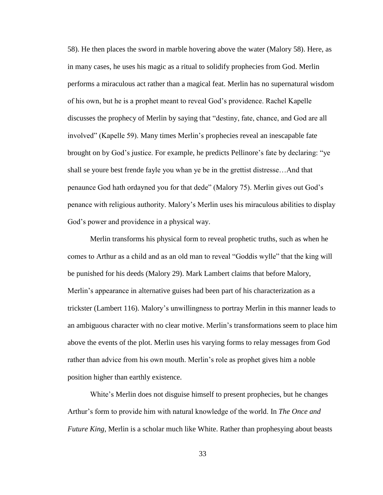58). He then places the sword in marble hovering above the water (Malory 58). Here, as in many cases, he uses his magic as a ritual to solidify prophecies from God. Merlin performs a miraculous act rather than a magical feat. Merlin has no supernatural wisdom of his own, but he is a prophet meant to reveal God's providence. Rachel Kapelle discusses the prophecy of Merlin by saying that "destiny, fate, chance, and God are all involved" (Kapelle 59). Many times Merlin's prophecies reveal an inescapable fate brought on by God's justice. For example, he predicts Pellinore's fate by declaring: "ye shall se youre best frende fayle you whan ye be in the grettist distresse…And that penaunce God hath ordayned you for that dede" (Malory 75). Merlin gives out God's penance with religious authority. Malory's Merlin uses his miraculous abilities to display God's power and providence in a physical way.

Merlin transforms his physical form to reveal prophetic truths, such as when he comes to Arthur as a child and as an old man to reveal "Goddis wylle" that the king will be punished for his deeds (Malory 29). Mark Lambert claims that before Malory, Merlin's appearance in alternative guises had been part of his characterization as a trickster (Lambert 116). Malory's unwillingness to portray Merlin in this manner leads to an ambiguous character with no clear motive. Merlin's transformations seem to place him above the events of the plot. Merlin uses his varying forms to relay messages from God rather than advice from his own mouth. Merlin's role as prophet gives him a noble position higher than earthly existence.

White's Merlin does not disguise himself to present prophecies, but he changes Arthur's form to provide him with natural knowledge of the world. In *The Once and Future King,* Merlin is a scholar much like White. Rather than prophesying about beasts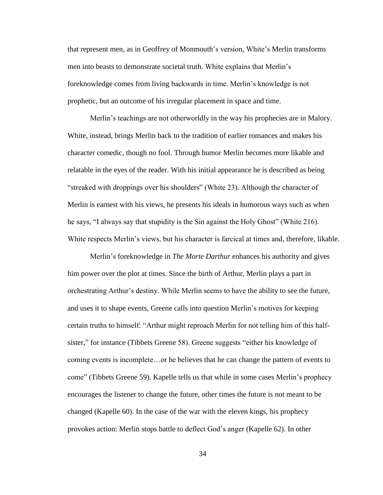that represent men, as in Geoffrey of Monmouth's version, White's Merlin transforms men into beasts to demonstrate societal truth. White explains that Merlin's foreknowledge comes from living backwards in time. Merlin's knowledge is not prophetic, but an outcome of his irregular placement in space and time.

Merlin's teachings are not otherworldly in the way his prophecies are in Malory. White, instead, brings Merlin back to the tradition of earlier romances and makes his character comedic, though no fool. Through humor Merlin becomes more likable and relatable in the eyes of the reader. With his initial appearance he is described as being "streaked with droppings over his shoulders" (White 23). Although the character of Merlin is earnest with his views, he presents his ideals in humorous ways such as when he says, "I always say that stupidity is the Sin against the Holy Ghost" (White 216). White respects Merlin's views, but his character is farcical at times and, therefore, likable.

Merlin's foreknowledge in *The Morte Darthur* enhances his authority and gives him power over the plot at times. Since the birth of Arthur, Merlin plays a part in orchestrating Arthur's destiny. While Merlin seems to have the ability to see the future, and uses it to shape events, Greene calls into question Merlin's motives for keeping certain truths to himself: "Arthur might reproach Merlin for not telling him of this halfsister," for instance (Tibbets Greene 58). Greene suggests "either his knowledge of coming events is incomplete…or he believes that he can change the pattern of events to come" (Tibbets Greene 59). Kapelle tells us that while in some cases Merlin's prophecy encourages the listener to change the future, other times the future is not meant to be changed (Kapelle 60). In the case of the war with the eleven kings, his prophecy provokes action: Merlin stops battle to deflect God's anger (Kapelle 62). In other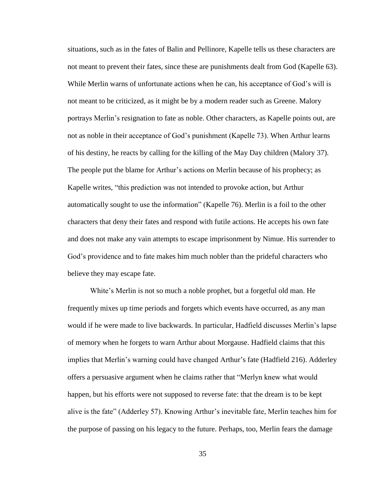situations, such as in the fates of Balin and Pellinore, Kapelle tells us these characters are not meant to prevent their fates, since these are punishments dealt from God (Kapelle 63). While Merlin warns of unfortunate actions when he can, his acceptance of God's will is not meant to be criticized, as it might be by a modern reader such as Greene. Malory portrays Merlin's resignation to fate as noble. Other characters, as Kapelle points out, are not as noble in their acceptance of God's punishment (Kapelle 73). When Arthur learns of his destiny, he reacts by calling for the killing of the May Day children (Malory 37). The people put the blame for Arthur's actions on Merlin because of his prophecy; as Kapelle writes, "this prediction was not intended to provoke action, but Arthur automatically sought to use the information" (Kapelle 76). Merlin is a foil to the other characters that deny their fates and respond with futile actions. He accepts his own fate and does not make any vain attempts to escape imprisonment by Nimue. His surrender to God's providence and to fate makes him much nobler than the prideful characters who believe they may escape fate.

White's Merlin is not so much a noble prophet, but a forgetful old man. He frequently mixes up time periods and forgets which events have occurred, as any man would if he were made to live backwards. In particular, Hadfield discusses Merlin's lapse of memory when he forgets to warn Arthur about Morgause. Hadfield claims that this implies that Merlin's warning could have changed Arthur's fate (Hadfield 216). Adderley offers a persuasive argument when he claims rather that "Merlyn knew what would happen, but his efforts were not supposed to reverse fate: that the dream is to be kept alive is the fate" (Adderley 57). Knowing Arthur's inevitable fate, Merlin teaches him for the purpose of passing on his legacy to the future. Perhaps, too, Merlin fears the damage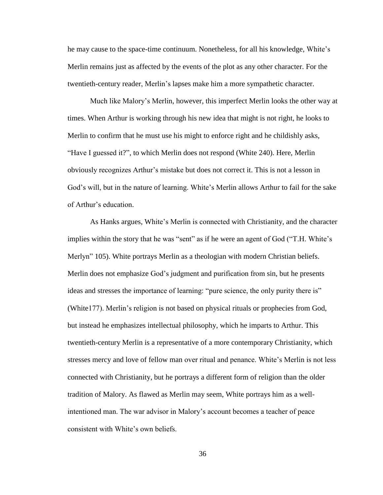he may cause to the space-time continuum. Nonetheless, for all his knowledge, White's Merlin remains just as affected by the events of the plot as any other character. For the twentieth-century reader, Merlin's lapses make him a more sympathetic character.

Much like Malory's Merlin, however, this imperfect Merlin looks the other way at times. When Arthur is working through his new idea that might is not right, he looks to Merlin to confirm that he must use his might to enforce right and he childishly asks, "Have I guessed it?", to which Merlin does not respond (White 240). Here, Merlin obviously recognizes Arthur's mistake but does not correct it. This is not a lesson in God's will, but in the nature of learning. White's Merlin allows Arthur to fail for the sake of Arthur's education.

As Hanks argues, White's Merlin is connected with Christianity, and the character implies within the story that he was "sent" as if he were an agent of God ("T.H. White's Merlyn" 105). White portrays Merlin as a theologian with modern Christian beliefs. Merlin does not emphasize God's judgment and purification from sin, but he presents ideas and stresses the importance of learning: "pure science, the only purity there is" (White177). Merlin's religion is not based on physical rituals or prophecies from God, but instead he emphasizes intellectual philosophy, which he imparts to Arthur. This twentieth-century Merlin is a representative of a more contemporary Christianity, which stresses mercy and love of fellow man over ritual and penance. White's Merlin is not less connected with Christianity, but he portrays a different form of religion than the older tradition of Malory. As flawed as Merlin may seem, White portrays him as a wellintentioned man. The war advisor in Malory's account becomes a teacher of peace consistent with White's own beliefs.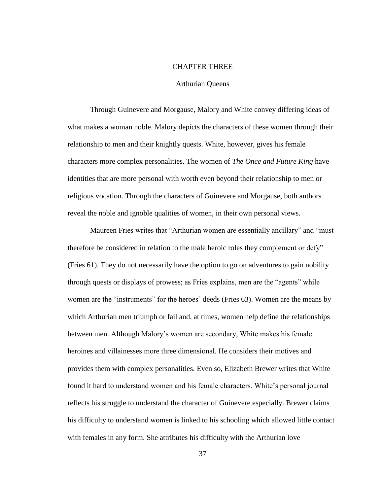#### CHAPTER THREE

#### Arthurian Queens

Through Guinevere and Morgause, Malory and White convey differing ideas of what makes a woman noble. Malory depicts the characters of these women through their relationship to men and their knightly quests. White, however, gives his female characters more complex personalities. The women of *The Once and Future King* have identities that are more personal with worth even beyond their relationship to men or religious vocation. Through the characters of Guinevere and Morgause, both authors reveal the noble and ignoble qualities of women, in their own personal views.

Maureen Fries writes that "Arthurian women are essentially ancillary" and "must therefore be considered in relation to the male heroic roles they complement or defy" (Fries 61). They do not necessarily have the option to go on adventures to gain nobility through quests or displays of prowess; as Fries explains, men are the "agents" while women are the "instruments" for the heroes' deeds (Fries 63). Women are the means by which Arthurian men triumph or fail and, at times, women help define the relationships between men. Although Malory's women are secondary, White makes his female heroines and villainesses more three dimensional. He considers their motives and provides them with complex personalities. Even so, Elizabeth Brewer writes that White found it hard to understand women and his female characters. White's personal journal reflects his struggle to understand the character of Guinevere especially. Brewer claims his difficulty to understand women is linked to his schooling which allowed little contact with females in any form. She attributes his difficulty with the Arthurian love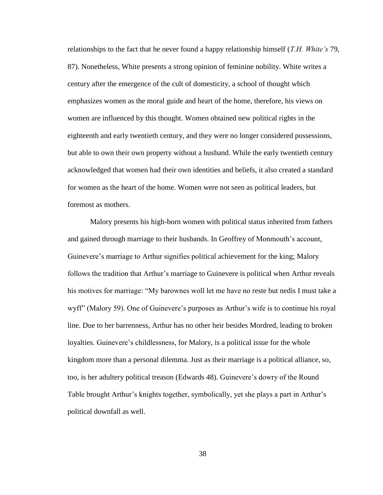relationships to the fact that he never found a happy relationship himself (*T.H. White's* 79, 87). Nonetheless, White presents a strong opinion of feminine nobility. White writes a century after the emergence of the cult of domesticity, a school of thought which emphasizes women as the moral guide and heart of the home, therefore, his views on women are influenced by this thought. Women obtained new political rights in the eighteenth and early twentieth century, and they were no longer considered possessions, but able to own their own property without a husband. While the early twentieth century acknowledged that women had their own identities and beliefs, it also created a standard for women as the heart of the home. Women were not seen as political leaders, but foremost as mothers.

Malory presents his high-born women with political status inherited from fathers and gained through marriage to their husbands. In Geoffrey of Monmouth's account, Guinevere's marriage to Arthur signifies political achievement for the king; Malory follows the tradition that Arthur's marriage to Guinevere is political when Arthur reveals his motives for marriage: "My barownes woll let me have no reste but nedis I must take a wyff" (Malory 59). One of Guinevere's purposes as Arthur's wife is to continue his royal line. Due to her barrenness, Arthur has no other heir besides Mordred, leading to broken loyalties. Guinevere's childlessness, for Malory, is a political issue for the whole kingdom more than a personal dilemma. Just as their marriage is a political alliance, so, too, is her adultery political treason (Edwards 48). Guinevere's dowry of the Round Table brought Arthur's knights together, symbolically, yet she plays a part in Arthur's political downfall as well.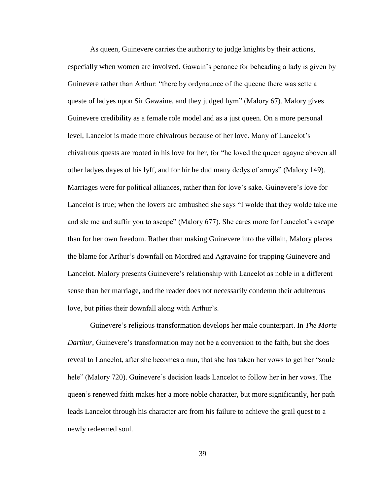As queen, Guinevere carries the authority to judge knights by their actions, especially when women are involved. Gawain's penance for beheading a lady is given by Guinevere rather than Arthur: "there by ordynaunce of the queene there was sette a queste of ladyes upon Sir Gawaine, and they judged hym" (Malory 67). Malory gives Guinevere credibility as a female role model and as a just queen. On a more personal level, Lancelot is made more chivalrous because of her love. Many of Lancelot's chivalrous quests are rooted in his love for her, for "he loved the queen agayne aboven all other ladyes dayes of his lyff, and for hir he dud many dedys of armys" (Malory 149). Marriages were for political alliances, rather than for love's sake. Guinevere's love for Lancelot is true; when the lovers are ambushed she says "I wolde that they wolde take me and sle me and suffir you to ascape" (Malory 677). She cares more for Lancelot's escape than for her own freedom. Rather than making Guinevere into the villain, Malory places the blame for Arthur's downfall on Mordred and Agravaine for trapping Guinevere and Lancelot. Malory presents Guinevere's relationship with Lancelot as noble in a different sense than her marriage, and the reader does not necessarily condemn their adulterous love, but pities their downfall along with Arthur's.

Guinevere's religious transformation develops her male counterpart. In *The Morte Darthur*, Guinevere's transformation may not be a conversion to the faith, but she does reveal to Lancelot, after she becomes a nun, that she has taken her vows to get her "soule hele" (Malory 720). Guinevere's decision leads Lancelot to follow her in her vows. The queen's renewed faith makes her a more noble character, but more significantly, her path leads Lancelot through his character arc from his failure to achieve the grail quest to a newly redeemed soul.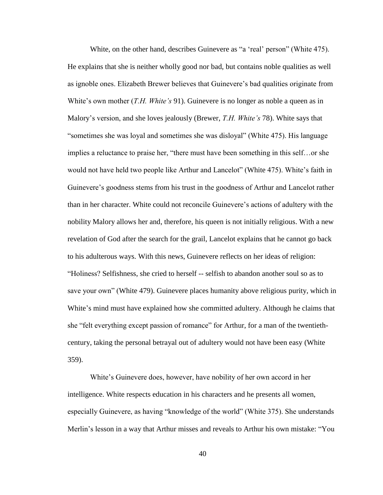White, on the other hand, describes Guinevere as "a 'real' person" (White 475). He explains that she is neither wholly good nor bad, but contains noble qualities as well as ignoble ones. Elizabeth Brewer believes that Guinevere's bad qualities originate from White's own mother (*T.H. White's* 91). Guinevere is no longer as noble a queen as in Malory's version, and she loves jealously (Brewer, *T.H. White's* 78). White says that "sometimes she was loyal and sometimes she was disloyal" (White 475). His language implies a reluctance to praise her, "there must have been something in this self…or she would not have held two people like Arthur and Lancelot" (White 475). White's faith in Guinevere's goodness stems from his trust in the goodness of Arthur and Lancelot rather than in her character. White could not reconcile Guinevere's actions of adultery with the nobility Malory allows her and, therefore, his queen is not initially religious. With a new revelation of God after the search for the grail, Lancelot explains that he cannot go back to his adulterous ways. With this news, Guinevere reflects on her ideas of religion: "Holiness? Selfishness, she cried to herself -- selfish to abandon another soul so as to save your own" (White 479). Guinevere places humanity above religious purity, which in White's mind must have explained how she committed adultery. Although he claims that she "felt everything except passion of romance" for Arthur, for a man of the twentiethcentury, taking the personal betrayal out of adultery would not have been easy (White 359).

White's Guinevere does, however, have nobility of her own accord in her intelligence. White respects education in his characters and he presents all women, especially Guinevere, as having "knowledge of the world" (White 375). She understands Merlin's lesson in a way that Arthur misses and reveals to Arthur his own mistake: "You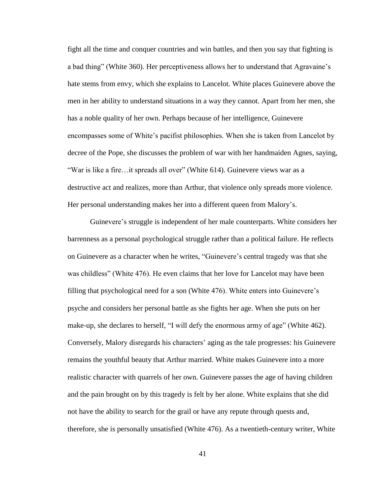fight all the time and conquer countries and win battles, and then you say that fighting is a bad thing" (White 360). Her perceptiveness allows her to understand that Agravaine's hate stems from envy, which she explains to Lancelot. White places Guinevere above the men in her ability to understand situations in a way they cannot. Apart from her men, she has a noble quality of her own. Perhaps because of her intelligence, Guinevere encompasses some of White's pacifist philosophies. When she is taken from Lancelot by decree of the Pope, she discusses the problem of war with her handmaiden Agnes, saying, "War is like a fire…it spreads all over" (White 614). Guinevere views war as a destructive act and realizes, more than Arthur, that violence only spreads more violence. Her personal understanding makes her into a different queen from Malory's.

Guinevere's struggle is independent of her male counterparts. White considers her barrenness as a personal psychological struggle rather than a political failure. He reflects on Guinevere as a character when he writes, "Guinevere's central tragedy was that she was childless" (White 476). He even claims that her love for Lancelot may have been filling that psychological need for a son (White 476). White enters into Guinevere's psyche and considers her personal battle as she fights her age. When she puts on her make-up, she declares to herself, "I will defy the enormous army of age" (White 462). Conversely, Malory disregards his characters' aging as the tale progresses: his Guinevere remains the youthful beauty that Arthur married. White makes Guinevere into a more realistic character with quarrels of her own. Guinevere passes the age of having children and the pain brought on by this tragedy is felt by her alone. White explains that she did not have the ability to search for the grail or have any repute through quests and, therefore, she is personally unsatisfied (White 476). As a twentieth-century writer, White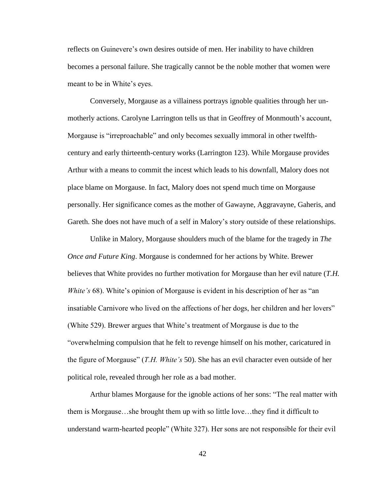reflects on Guinevere's own desires outside of men. Her inability to have children becomes a personal failure. She tragically cannot be the noble mother that women were meant to be in White's eyes.

Conversely, Morgause as a villainess portrays ignoble qualities through her unmotherly actions. Carolyne Larrington tells us that in Geoffrey of Monmouth's account, Morgause is "irreproachable" and only becomes sexually immoral in other twelfthcentury and early thirteenth-century works (Larrington 123). While Morgause provides Arthur with a means to commit the incest which leads to his downfall, Malory does not place blame on Morgause. In fact, Malory does not spend much time on Morgause personally. Her significance comes as the mother of Gawayne, Aggravayne, Gaheris, and Gareth. She does not have much of a self in Malory's story outside of these relationships.

Unlike in Malory, Morgause shoulders much of the blame for the tragedy in *The Once and Future King*. Morgause is condemned for her actions by White. Brewer believes that White provides no further motivation for Morgause than her evil nature (*T.H. White's* 68). White's opinion of Morgause is evident in his description of her as "an insatiable Carnivore who lived on the affections of her dogs, her children and her lovers" (White 529). Brewer argues that White's treatment of Morgause is due to the "overwhelming compulsion that he felt to revenge himself on his mother, caricatured in the figure of Morgause" (*T.H. White's* 50). She has an evil character even outside of her political role, revealed through her role as a bad mother.

Arthur blames Morgause for the ignoble actions of her sons: "The real matter with them is Morgause…she brought them up with so little love…they find it difficult to understand warm-hearted people" (White 327). Her sons are not responsible for their evil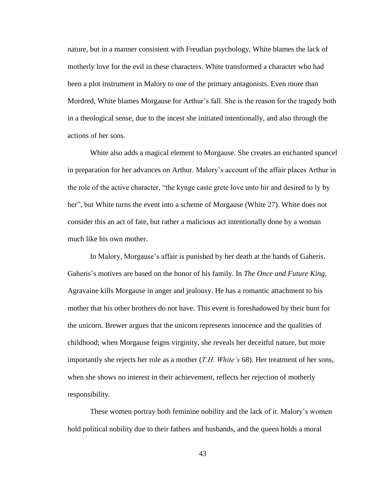nature, but in a manner consistent with Freudian psychology, White blames the lack of motherly love for the evil in these characters. White transformed a character who had been a plot instrument in Malory to one of the primary antagonists. Even more than Mordred, White blames Morgause for Arthur's fall. She is the reason for the tragedy both in a theological sense, due to the incest she initiated intentionally, and also through the actions of her sons.

White also adds a magical element to Morgause. She creates an enchanted spancel in preparation for her advances on Arthur. Malory's account of the affair places Arthur in the role of the active character, "the kynge caste grete love unto hir and desired to ly by her", but White turns the event into a scheme of Morgause (White 27). White does not consider this an act of fate, but rather a malicious act intentionally done by a woman much like his own mother.

In Malory, Morgause's affair is punished by her death at the hands of Gaheris. Gaheris's motives are based on the honor of his family. In *The Once and Future King*, Agravaine kills Morgause in anger and jealousy. He has a romantic attachment to his mother that his other brothers do not have. This event is foreshadowed by their hunt for the unicorn. Brewer argues that the unicorn represents innocence and the qualities of childhood; when Morgause feigns virginity, she reveals her deceitful nature, but more importantly she rejects her role as a mother (*T.H. White's* 68). Her treatment of her sons, when she shows no interest in their achievement, reflects her rejection of motherly responsibility.

These women portray both feminine nobility and the lack of it. Malory's women hold political nobility due to their fathers and husbands, and the queen holds a moral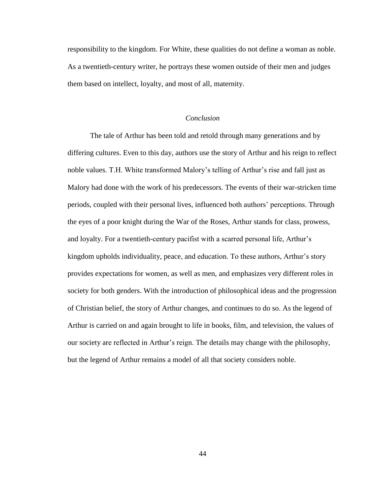responsibility to the kingdom. For White, these qualities do not define a woman as noble. As a twentieth-century writer, he portrays these women outside of their men and judges them based on intellect, loyalty, and most of all, maternity.

#### *Conclusion*

The tale of Arthur has been told and retold through many generations and by differing cultures. Even to this day, authors use the story of Arthur and his reign to reflect noble values. T.H. White transformed Malory's telling of Arthur's rise and fall just as Malory had done with the work of his predecessors. The events of their war-stricken time periods, coupled with their personal lives, influenced both authors' perceptions. Through the eyes of a poor knight during the War of the Roses, Arthur stands for class, prowess, and loyalty. For a twentieth-century pacifist with a scarred personal life, Arthur's kingdom upholds individuality, peace, and education. To these authors, Arthur's story provides expectations for women, as well as men, and emphasizes very different roles in society for both genders. With the introduction of philosophical ideas and the progression of Christian belief, the story of Arthur changes, and continues to do so. As the legend of Arthur is carried on and again brought to life in books, film, and television, the values of our society are reflected in Arthur's reign. The details may change with the philosophy, but the legend of Arthur remains a model of all that society considers noble.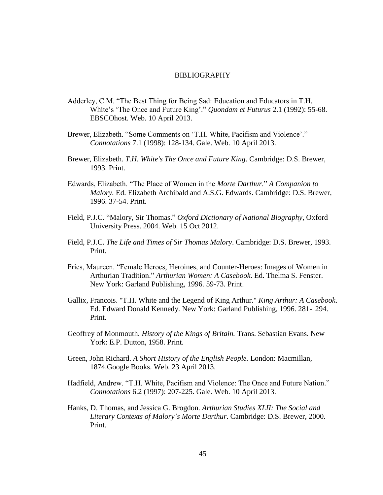### BIBLIOGRAPHY

- Adderley, C.M. "The Best Thing for Being Sad: Education and Educators in T.H. White's 'The Once and Future King'." *Quondam et Futurus* 2.1 (1992): 55-68. EBSCOhost. Web. 10 April 2013.
- Brewer, Elizabeth. "Some Comments on 'T.H. White, Pacifism and Violence'." *Connotations* 7.1 (1998): 128-134. Gale. Web. 10 April 2013.
- Brewer, Elizabeth. *T.H. White's The Once and Future King*. Cambridge: D.S. Brewer, 1993. Print.
- Edwards, Elizabeth. "The Place of Women in the *Morte Darthur.*" *A Companion to Malory.* Ed. Elizabeth Archibald and A.S.G. Edwards. Cambridge: D.S. Brewer, 1996. 37-54. Print.
- Field, P.J.C. "Malory, Sir Thomas." *Oxford Dictionary of National Biography*, Oxford University Press. 2004. Web. 15 Oct 2012.
- Field, P.J.C. *The Life and Times of Sir Thomas Malory*. Cambridge: D.S. Brewer, 1993. Print.
- Fries, Maureen. "Female Heroes, Heroines, and Counter-Heroes: Images of Women in Arthurian Tradition." *Arthurian Women: A Casebook*. Ed. Thelma S. Fenster. New York: Garland Publishing, 1996. 59-73. Print.
- Gallix, Francois. "T.H. White and the Legend of King Arthur." *King Arthur: A Casebook*. Ed. Edward Donald Kennedy. New York: Garland Publishing, 1996. 281- 294. Print.
- Geoffrey of Monmouth. *History of the Kings of Britain.* Trans. Sebastian Evans. New York: E.P. Dutton, 1958. Print.
- Green, John Richard. *A Short History of the English People.* London: Macmillan, 1874.Google Books. Web. 23 April 2013.
- Hadfield, Andrew. "T.H. White, Pacifism and Violence: The Once and Future Nation." *Connotations* 6.2 (1997): 207-225. Gale. Web. 10 April 2013.
- Hanks, D. Thomas, and Jessica G. Brogdon. *Arthurian Studies XLII: The Social and Literary Contexts of Malory's Morte Darthur*. Cambridge: D.S. Brewer, 2000. Print.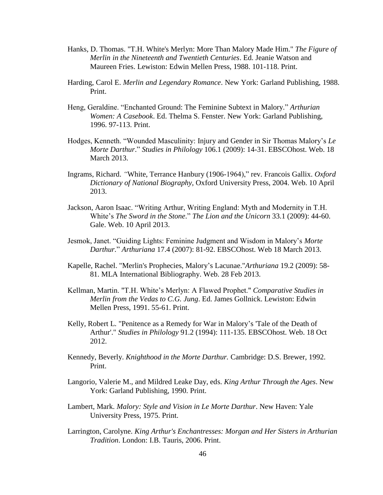- Hanks, D. Thomas. "T.H. White's Merlyn: More Than Malory Made Him." *The Figure of Merlin in the Nineteenth and Twentieth Centuries*. Ed. Jeanie Watson and Maureen Fries. Lewiston: Edwin Mellen Press, 1988. 101-118. Print.
- Harding, Carol E. *Merlin and Legendary Romance*. New York: Garland Publishing, 1988. Print.
- Heng, Geraldine. "Enchanted Ground: The Feminine Subtext in Malory." *Arthurian Women: A Casebook*. Ed. Thelma S. Fenster. New York: Garland Publishing, 1996. 97-113. Print.
- Hodges, Kenneth. "Wounded Masculinity: Injury and Gender in Sir Thomas Malory's *Le Morte Darthur*." *Studies in Philology* 106.1 (2009): 14-31. EBSCOhost. Web. 18 March 2013.
- Ingrams, Richard. *"*White, Terrance Hanbury (1906-1964)," rev. Francois Gallix. *Oxford Dictionary of National Biography*, Oxford University Press, 2004. Web. 10 April 2013.
- Jackson, Aaron Isaac. "Writing Arthur, Writing England: Myth and Modernity in T.H. White's *The Sword in the Stone*." *The Lion and the Unicorn* 33.1 (2009): 44-60. Gale. Web. 10 April 2013.
- Jesmok, Janet. "Guiding Lights: Feminine Judgment and Wisdom in Malory's *Morte Darthur.*" *Arthuriana* 17.4 (2007): 81-92. EBSCOhost. Web 18 March 2013.
- Kapelle, Rachel. "Merlin's Prophecies, Malory's Lacunae."*Arthuriana* 19.2 (2009): 58- 81. MLA International Bibliography. Web. 28 Feb 2013.
- Kellman, Martin. "T.H. White's Merlyn: A Flawed Prophet." *Comparative Studies in Merlin from the Vedas to C.G. Jung*. Ed. James Gollnick. Lewiston: Edwin Mellen Press, 1991. 55-61. Print.
- Kelly, Robert L. "Penitence as a Remedy for War in Malory's 'Tale of the Death of Arthur'." *Studies in Philology* 91.2 (1994): 111-135. EBSCOhost. Web. 18 Oct 2012.
- Kennedy, Beverly. *Knighthood in the Morte Darthur.* Cambridge: D.S. Brewer, 1992. Print.
- Langorio, Valerie M., and Mildred Leake Day, eds. *King Arthur Through the Ages*. New York: Garland Publishing, 1990. Print.
- Lambert, Mark. *Malory: Style and Vision in Le Morte Darthur*. New Haven: Yale University Press, 1975. Print.
- Larrington, Carolyne. *King Arthur's Enchantresses: Morgan and Her Sisters in Arthurian Tradition*. London: I.B. Tauris, 2006. Print.